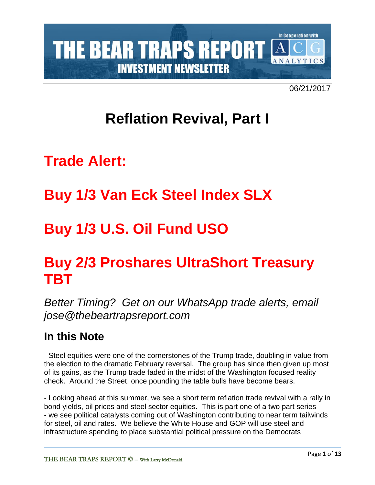

06/21/2017

# **Reflation Revival, Part I**

# **Trade Alert:**

# **Buy 1/3 Van Eck Steel Index SLX**

# **Buy 1/3 U.S. Oil Fund USO**

# **Buy 2/3 Proshares UltraShort Treasury TBT**

*Better Timing? Get on our WhatsApp trade alerts, email jose@thebeartrapsreport.com*

# **In this Note**

- Steel equities were one of the cornerstones of the Trump trade, doubling in value from the election to the dramatic February reversal. The group has since then given up most of its gains, as the Trump trade faded in the midst of the Washington focused reality check. Around the Street, once pounding the table bulls have become bears.

- Looking ahead at this summer, we see a short term reflation trade revival with a rally in bond yields, oil prices and steel sector equities. This is part one of a two part series - we see political catalysts coming out of Washington contributing to near term tailwinds for steel, oil and rates. We believe the White House and GOP will use steel and infrastructure spending to place substantial political pressure on the Democrats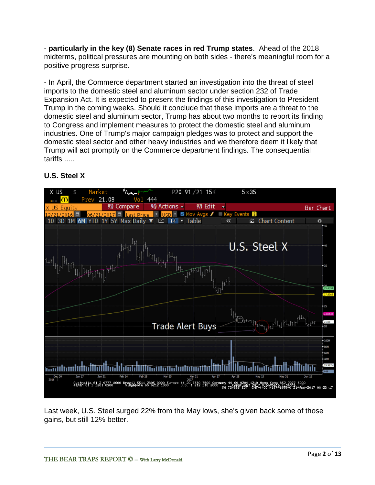- **particularly in the key (8) Senate races in red Trump states**. Ahead of the 2018 midterms, political pressures are mounting on both sides - there's meaningful room for a positive progress surprise.

- In April, the Commerce department started an investigation into the threat of steel imports to the domestic steel and aluminum sector under section 232 of Trade Expansion Act. It is expected to present the findings of this investigation to President Trump in the coming weeks. Should it conclude that these imports are a threat to the domestic steel and aluminum sector, Trump has about two months to report its finding to Congress and implement measures to protect the domestic steel and aluminum industries. One of Trump's major campaign pledges was to protect and support the domestic steel sector and other heavy industries and we therefore deem it likely that Trump will act promptly on the Commerce department findings. The consequential tariffs .....



## **U.S. Steel X**

Last week, U.S. Steel surged 22% from the May lows, she's given back some of those gains, but still 12% better.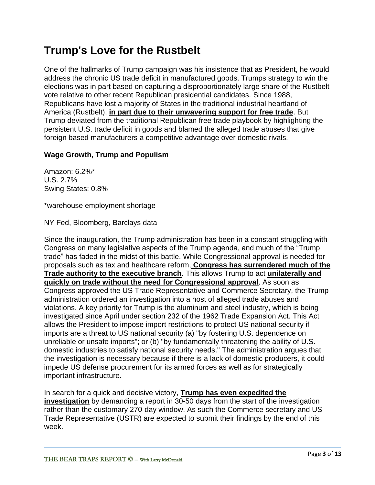# **Trump's Love for the Rustbelt**

One of the hallmarks of Trump campaign was his insistence that as President, he would address the chronic US trade deficit in manufactured goods. Trumps strategy to win the elections was in part based on capturing a disproportionately large share of the Rustbelt vote relative to other recent Republican presidential candidates. Since 1988, Republicans have lost a majority of States in the traditional industrial heartland of America (Rustbelt), **in part due to their unwavering support for free trade**. But Trump deviated from the traditional Republican free trade playbook by highlighting the persistent U.S. trade deficit in goods and blamed the alleged trade abuses that give foreign based manufacturers a competitive advantage over domestic rivals.

## **Wage Growth, Trump and Populism**

Amazon: 6.2%\* U.S. 2.7% Swing States: 0.8%

\*warehouse employment shortage

NY Fed, Bloomberg, Barclays data

Since the inauguration, the Trump administration has been in a constant struggling with Congress on many legislative aspects of the Trump agenda, and much of the "Trump trade" has faded in the midst of this battle. While Congressional approval is needed for proposals such as tax and healthcare reform, **Congress has surrendered much of the Trade authority to the executive branch**. This allows Trump to act **unilaterally and quickly on trade without the need for Congressional approval**. As soon as Congress approved the US Trade Representative and Commerce Secretary, the Trump administration ordered an investigation into a host of alleged trade abuses and violations. A key priority for Trump is the aluminum and steel industry, which is being investigated since April under section 232 of the 1962 Trade Expansion Act. This Act allows the President to impose import restrictions to protect US national security if imports are a threat to US national security (a) "by fostering U.S. dependence on unreliable or unsafe imports"; or (b) "by fundamentally threatening the ability of U.S. domestic industries to satisfy national security needs." The administration argues that the investigation is necessary because if there is a lack of domestic producers, it could impede US defense procurement for its armed forces as well as for strategically important infrastructure.

In search for a quick and decisive victory, **Trump has even expedited the investigation** by demanding a report in 30-50 days from the start of the investigation rather than the customary 270-day window. As such the Commerce secretary and US Trade Representative (USTR) are expected to submit their findings by the end of this week.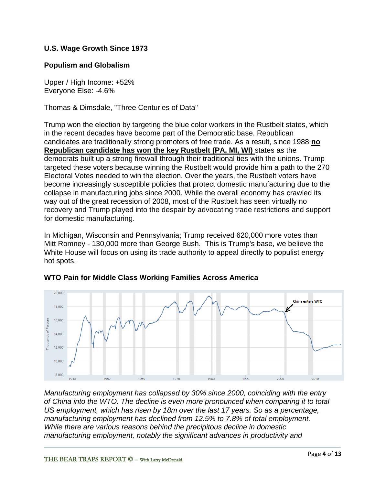### **U.S. Wage Growth Since 1973**

#### **Populism and Globalism**

Upper / High Income: +52% Everyone Else: -4.6%

Thomas & Dimsdale, "Three Centuries of Data"

Trump won the election by targeting the blue color workers in the Rustbelt states, which in the recent decades have become part of the Democratic base. Republican candidates are traditionally strong promoters of free trade. As a result, since 1988 **no Republican candidate has won the key Rustbelt (PA, MI, WI)** states as the democrats built up a strong firewall through their traditional ties with the unions. Trump targeted these voters because winning the Rustbelt would provide him a path to the 270 Electoral Votes needed to win the election. Over the years, the Rustbelt voters have become increasingly susceptible policies that protect domestic manufacturing due to the collapse in manufacturing jobs since 2000. While the overall economy has crawled its way out of the great recession of 2008, most of the Rustbelt has seen virtually no recovery and Trump played into the despair by advocating trade restrictions and support for domestic manufacturing.

In Michigan, Wisconsin and Pennsylvania; Trump received 620,000 more votes than Mitt Romney - 130,000 more than George Bush. This is Trump's base, we believe the White House will focus on using its trade authority to appeal directly to populist energy hot spots.



#### **WTO Pain for Middle Class Working Families Across America**

*Manufacturing employment has collapsed by 30% since 2000, coinciding with the entry of China into the WTO. The decline is even more pronounced when comparing it to total US employment, which has risen by 18m over the last 17 years. So as a percentage, manufacturing employment has declined from 12.5% to 7.8% of total employment. While there are various reasons behind the precipitous decline in domestic manufacturing employment, notably the significant advances in productivity and*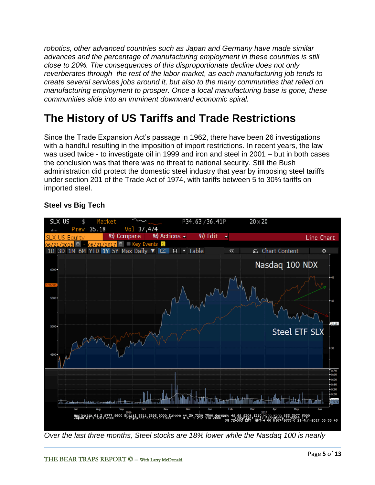*robotics, other advanced countries such as Japan and Germany have made similar advances and the percentage of manufacturing employment in these countries is still close to 20%. The consequences of this disproportionate decline does not only reverberates through the rest of the labor market, as each manufacturing job tends to create several services jobs around it, but also to the many communities that relied on manufacturing employment to prosper. Once a local manufacturing base is gone, these communities slide into an imminent downward economic spiral.* 

# **The History of US Tariffs and Trade Restrictions**

Since the Trade Expansion Act's passage in 1962, there have been 26 investigations with a handful resulting in the imposition of import restrictions. In recent years, the law was used twice - to investigate oil in 1999 and iron and steel in 2001 – but in both cases the conclusion was that there was no threat to national security. Still the Bush administration did protect the domestic steel industry that year by imposing steel tariffs under section 201 of the Trade Act of 1974, with tariffs between 5 to 30% tariffs on imported steel.

## **Steel vs Big Tech**



*Over the last three months, Steel stocks are 18% lower while the Nasdaq 100 is nearly*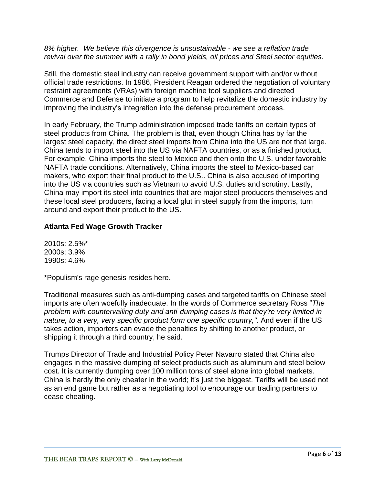*8% higher. We believe this divergence is unsustainable - we see a reflation trade revival over the summer with a rally in bond yields, oil prices and Steel sector equities.*

Still, the domestic steel industry can receive government support with and/or without official trade restrictions. In 1986, President Reagan ordered the negotiation of voluntary restraint agreements (VRAs) with foreign machine tool suppliers and directed Commerce and Defense to initiate a program to help revitalize the domestic industry by improving the industry's integration into the defense procurement process.

In early February, the Trump administration imposed trade tariffs on certain types of steel products from China. The problem is that, even though China has by far the largest steel capacity, the direct steel imports from China into the US are not that large. China tends to import steel into the US via NAFTA countries, or as a finished product. For example, China imports the steel to Mexico and then onto the U.S. under favorable NAFTA trade conditions. Alternatively, China imports the steel to Mexico-based car makers, who export their final product to the U.S.. China is also accused of importing into the US via countries such as Vietnam to avoid U.S. duties and scrutiny. Lastly, China may import its steel into countries that are major steel producers themselves and these local steel producers, facing a local glut in steel supply from the imports, turn around and export their product to the US.

### **Atlanta Fed Wage Growth Tracker**

2010s: 2.5%\* 2000s: 3.9% 1990s: 4.6%

\*Populism's rage genesis resides here.

Traditional measures such as anti-dumping cases and targeted tariffs on Chinese steel imports are often woefully inadequate. In the words of Commerce secretary Ross "*The problem with countervailing duty and anti-dumping cases is that they're very limited in nature, to a very, very specific product form one specific country,".* And even if the US takes action, importers can evade the penalties by shifting to another product, or shipping it through a third country, he said.

Trumps Director of Trade and Industrial Policy Peter Navarro stated that China also engages in the massive dumping of select products such as aluminum and steel below cost. It is currently dumping over 100 million tons of steel alone into global markets. China is hardly the only cheater in the world; it's just the biggest. Tariffs will be used not as an end game but rather as a negotiating tool to encourage our trading partners to cease cheating.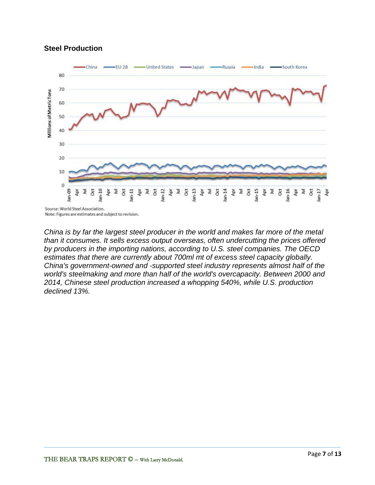#### **Steel Production**



Source: World Steel Association. Note: Figures are estimates and subject to revision.

*China is by far the largest steel producer in the world and makes far more of the metal than it consumes. It sells excess output overseas, often undercutting the prices offered by producers in the importing nations, according to U.S. steel companies. The OECD estimates that there are currently about 700ml mt of excess steel capacity globally. China's government-owned and -supported steel industry represents almost half of the world's steelmaking and more than half of the world's overcapacity. Between 2000 and 2014, Chinese steel production increased a whopping 540%, while U.S. production declined 13%.*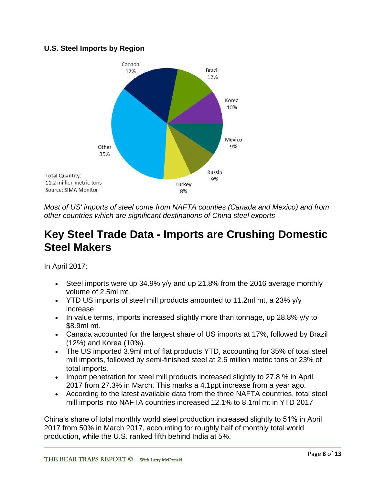### **U.S. Steel Imports by Region**



*Most of US' imports of steel come from NAFTA counties (Canada and Mexico) and from other countries which are significant destinations of China steel exports*

## **Key Steel Trade Data - Imports are Crushing Domestic Steel Makers**

In April 2017:

- Steel imports were up 34.9% y/y and up 21.8% from the 2016 average monthly volume of 2.5ml mt.
- YTD US imports of steel mill products amounted to 11.2ml mt, a 23% y/y increase
- In value terms, imports increased slightly more than tonnage, up 28.8%  $y/y$  to \$8.9ml mt.
- Canada accounted for the largest share of US imports at 17%, followed by Brazil (12%) and Korea (10%).
- The US imported 3.9ml mt of flat products YTD, accounting for 35% of total steel mill imports, followed by semi-finished steel at 2.6 million metric tons or 23% of total imports.
- Import penetration for steel mill products increased slightly to 27.8 % in April 2017 from 27.3% in March. This marks a 4.1ppt increase from a year ago.
- According to the latest available data from the three NAFTA countries, total steel mill imports into NAFTA countries increased 12.1% to 8.1ml mt in YTD 2017

China's share of total monthly world steel production increased slightly to 51% in April 2017 from 50% in March 2017, accounting for roughly half of monthly total world production, while the U.S. ranked fifth behind India at 5%.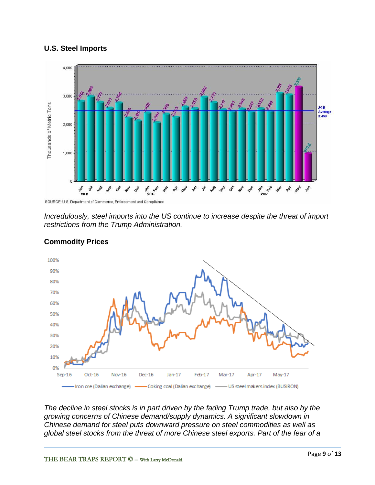#### **U.S. Steel Imports**



*Incredulously, steel imports into the US continue to increase despite the threat of import restrictions from the Trump Administration.*



## **Commodity Prices**

*The decline in steel stocks is in part driven by the fading Trump trade, but also by the growing concerns of Chinese demand/supply dynamics. A significant slowdown in Chinese demand for steel puts downward pressure on steel commodities as well as global steel stocks from the threat of more Chinese steel exports. Part of the fear of a*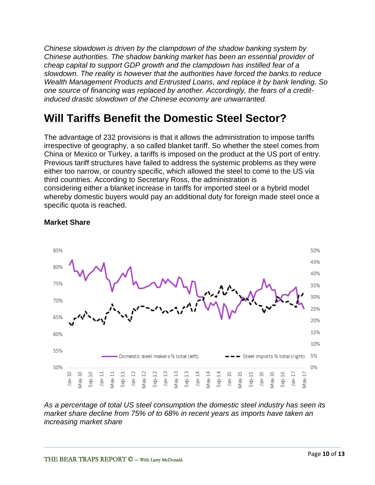*Chinese slowdown is driven by the clampdown of the shadow banking system by Chinese authorities. The shadow banking market has been an essential provider of cheap capital to support GDP growth and the clampdown has instilled fear of a slowdown. The reality is however that the authorities have forced the banks to reduce Wealth Management Products and Entrusted Loans, and replace it by bank lending. So one source of financing was replaced by another. Accordingly, the fears of a creditinduced drastic slowdown of the Chinese economy are unwarranted.*

# **Will Tariffs Benefit the Domestic Steel Sector?**

The advantage of 232 provisions is that it allows the administration to impose tariffs irrespective of geography, a so called blanket tariff. So whether the steel comes from China or Mexico or Turkey, a tariffs is imposed on the product at the US port of entry. Previous tariff structures have failed to address the systemic problems as they were either too narrow, or country specific, which allowed the steel to come to the US via third countries. According to Secretary Ross, the administration is considering either a blanket increase in tariffs for imported steel or a hybrid model whereby domestic buyers would pay an additional duty for foreign made steel once a specific quota is reached.



### **Market Share**

*As a percentage of total US steel consumption the domestic steel industry has seen its market share decline from 75% of to 68% in recent years as imports have taken an increasing market share*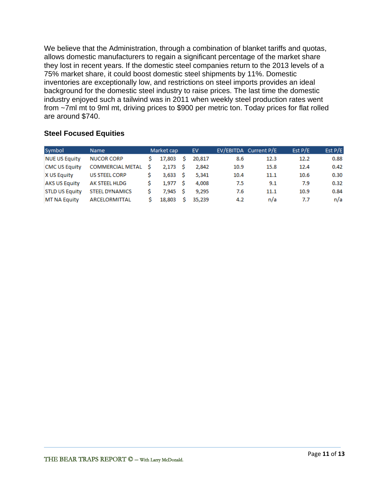We believe that the Administration, through a combination of blanket tariffs and quotas, allows domestic manufacturers to regain a significant percentage of the market share they lost in recent years. If the domestic steel companies return to the 2013 levels of a 75% market share, it could boost domestic steel shipments by 11%. Domestic inventories are exceptionally low, and restrictions on steel imports provides an ideal background for the domestic steel industry to raise prices. The last time the domestic industry enjoyed such a tailwind was in 2011 when weekly steel production rates went from ~7ml mt to 9ml mt, driving prices to \$900 per metric ton. Today prices for flat rolled are around \$740.

## **Steel Focused Equities**

| Symbol                | <b>Name</b>             |   | Market cap |    | EV     |      | EV/EBITDA Current P/E | Est $P/E$ | Est $P/E$ |
|-----------------------|-------------------------|---|------------|----|--------|------|-----------------------|-----------|-----------|
| <b>NUE US Equity</b>  | <b>NUCOR CORP</b>       |   | 17,803     | S. | 20,817 | 8.6  | 12.3                  | 12.2      | 0.88      |
| <b>CMC US Equity</b>  | <b>COMMERCIAL METAL</b> | S | 2.173 S    |    | 2.842  | 10.9 | 15.8                  | 12.4      | 0.42      |
| <b>X US Equity</b>    | <b>US STEEL CORP</b>    |   | 3.633 S    |    | 5.341  | 10.4 | 11.1                  | 10.6      | 0.30      |
| <b>AKS US Equity</b>  | AK STEEL HLDG           |   | 1.977 S    |    | 4.008  | 7.5  | 9.1                   | 7.9       | 0.32      |
| <b>STLD US Equity</b> | <b>STEEL DYNAMICS</b>   |   | 7.945 S    |    | 9.295  | 7.6  | 11.1                  | 10.9      | 0.84      |
| <b>MT NA Equity</b>   | ARCELORMITTAL           |   | 18,803     | s  | 35.239 | 4.2  | n/a                   | 7.7       | n/a       |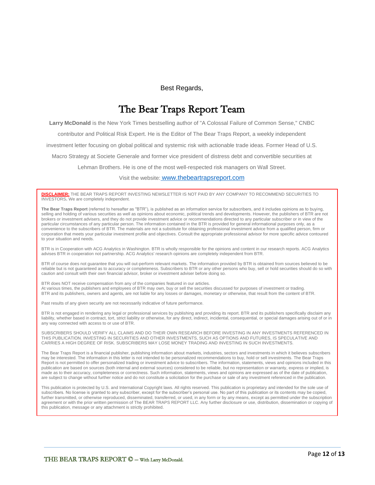#### Best Regards,

## The Bear Traps Report Team

**Larry McDonald** is the New York Times bestselling author of "A Colossal Failure of Common Sense," CNBC

contributor and Political Risk Expert. He is the Editor of The Bear Traps Report, a weekly independent

investment letter focusing on global political and systemic risk with actionable trade ideas. Former Head of U.S.

Macro Strategy at Societe Generale and former vice president of distress debt and convertible securities at

Lehman Brothers. He is one of the most well-respected risk managers on Wall Street.

Visit the website: [www.thebeartrapsreport.com](http://www.thebeartrapsreport.com/index.php?hide=1)

**DISCLAIMER:** THE BEAR TRAPS REPORT INVESTING NEWSLETTER IS NOT PAID BY ANY COMPANY TO RECOMMEND SECURITIES TO INVESTORS**.** We are completely independent.

**The Bear Traps Report** (referred to hereafter as "BTR"), is published as an information service for subscribers, and it includes opinions as to buying, selling and holding of various securities as well as opinions about economic, political trends and developments. However, the publishers of BTR are not brokers or investment advisers, and they do not provide investment advice or recommendations directed to any particular subscriber or in view of the particular circumstances of any particular person. The information contained in the BTR is provided for general informational purposes only, as a convenience to the subscribers of BTR. The materials are not a substitute for obtaining professional investment advice from a qualified person, firm or corporation that meets your particular investment profile and objectives. Consult the appropriate professional advisor for more specific advice contoured to your situation and needs.

BTR is in Cooperation with ACG Analytics in Washington. BTR is wholly responsible for the opinions and content in our research reports. ACG Analytics advises BTR in cooperation not partnership. ACG Analytics' research opinions are completely independent from BTR.

BTR of course does not guarantee that you will out-perform relevant markets. The information provided by BTR is obtained from sources believed to be reliable but is not guaranteed as to accuracy or completeness. Subscribers to BTR or any other persons who buy, sell or hold securities should do so with caution and consult with their own financial advisor, broker or investment adviser before doing so.

BTR does NOT receive compensation from any of the companies featured in our articles. At various times, the publishers and employees of BTR may own, buy or sell the securities discussed for purposes of investment or trading. BTR and its publishers, owners and agents, are not liable for any losses or damages, monetary or otherwise, that result from the content of BTR.

Past results of any given security are not necessarily indicative of future performance.

BTR is not engaged in rendering any legal or professional services by publishing and providing its report. BTR and its publishers specifically disclaim any liability, whether based in contract, tort, strict liability or otherwise, for any direct, indirect, incidental, consequential, or special damages arising out of or in any way connected with access to or use of BTR.

SUBSCRIBERS SHOULD VERIFY ALL CLAIMS AND DO THEIR OWN RESEARCH BEFORE INVESTING IN ANY INVESTMENTS REFERENCED IN THIS PUBLICATION. INVESTING IN SECURITIES AND OTHER INVESTMENTS, SUCH AS OPTIONS AND FUTURES, IS SPECULATIVE AND CARRIES A HIGH DEGREE OF RISK. SUBSCRIBERS MAY LOSE MONEY TRADING AND INVESTING IN SUCH INVESTMENTS.

The Bear Traps Report is a financial publisher, publishing information about markets, industries, sectors and investments in which it believes subscribers may be interested. The information in this letter is not intended to be personalized recommendations to buy, hold or sell investments. The Bear Traps Report is not permitted to offer personalized trading or investment advice to subscribers. The information, statements, views and opinions included in this publication are based on sources (both internal and external sources) considered to be reliable, but no representation or warranty, express or implied, is made as to their accuracy, completeness or correctness. Such information, statements, views and opinions are expressed as of the date of publication, are subject to change without further notice and do not constitute a solicitation for the purchase or sale of any investment referenced in the publication.

This publication is protected by U.S. and International Copyright laws. All rights reserved. This publication is proprietary and intended for the sole use of subscribers. No license is granted to any subscriber, except for the subscriber's personal use. No part of this publication or its contents may be copied, further transmitted, or otherwise reproduced, disseminated, transferred, or used, in any form or by any means, except as permitted under the subscription agreement or with the prior written permission of The BEAR TRAPS REPORT LLC. Any further disclosure or use, distribution, dissemination or copying of this publication, message or any attachment is strictly prohibited.